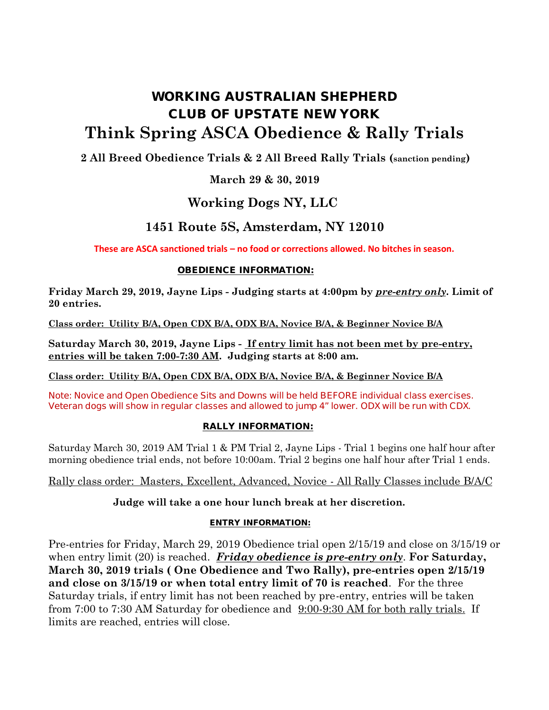# **WORKING AUSTRALIAN SHEPHERD CLUB OF UPSTATE NEW YORK Think Spring ASCA Obedience & Rally Trials**

### **2 All Breed Obedience Trials & 2 All Breed Rally Trials (sanction pending)**

### **March 29 & 30, 2019**

## **Working Dogs NY, LLC**

## **1451 Route 5S, Amsterdam, NY 12010**

**These are ASCA sanctioned trials – no food or corrections allowed. No bitches in season.**

#### **OBEDIENCE INFORMATION:**

**Friday March 29, 2019, Jayne Lips - Judging starts at 4:00pm by** *pre-entry only***. Limit of 20 entries.**

**Class order: Utility B/A, Open CDX B/A, ODX B/A, Novice B/A, & Beginner Novice B/A**

**Saturday March 30, 2019, Jayne Lips - If entry limit has not been met by pre-entry, entries will be taken 7:00-7:30 AM. Judging starts at 8:00 am.**

**Class order: Utility B/A, Open CDX B/A, ODX B/A, Novice B/A, & Beginner Novice B/A**

**Note: Novice and Open Obedience Sits and Downs will be held BEFORE individual class exercises. Veteran dogs will show in regular classes and allowed to jump 4" lower. ODX will be run with CDX.**

#### **RALLY INFORMATION:**

Saturday March 30, 2019 AM Trial 1 & PM Trial 2, Jayne Lips - Trial 1 begins one half hour after morning obedience trial ends, not before 10:00am. Trial 2 begins one half hour after Trial 1 ends.

#### Rally class order: Masters, Excellent, Advanced, Novice - All Rally Classes include B/A/C

#### **Judge will take a one hour lunch break at her discretion.**

#### **ENTRY INFORMATION:**

Pre-entries for Friday, March 29, 2019 Obedience trial open 2/15/19 and close on 3/15/19 or when entry limit (20) is reached. *Friday obedience is pre-entry only*. **For Saturday, March 30, 2019 trials ( One Obedience and Two Rally), pre-entries open 2/15/19 and close on 3/15/19 or when total entry limit of 70 is reached**. For the three Saturday trials, if entry limit has not been reached by pre-entry, entries will be taken from 7:00 to 7:30 AM Saturday for obedience and 9:00-9:30 AM for both rally trials. If limits are reached, entries will close.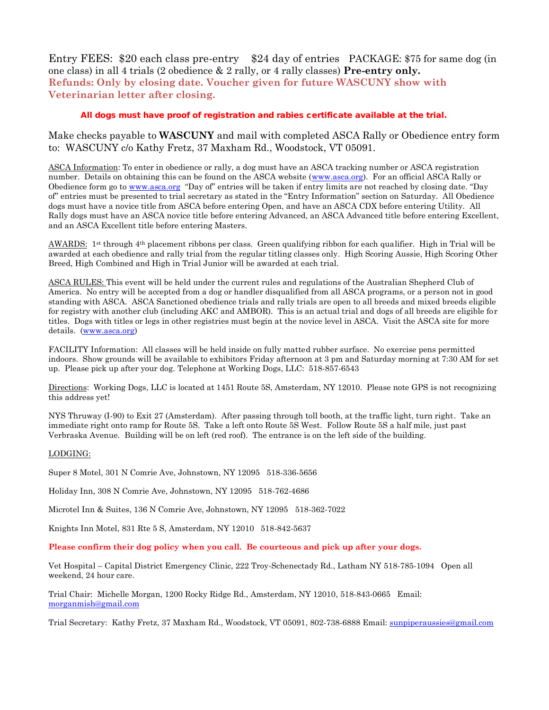Entry FEES: \$20 each class pre-entry \$24 day of entries PACKAGE: \$75 for same dog (in one class) in all 4 trials (2 obedience & 2 rally, or 4 rally classes) **Pre-entry only. Refunds: Only by closing date. Voucher given for future WASCUNY show with Veterinarian letter after closing.**

#### *All dogs must have proof of registration and rabies certificate available at the trial.*

Make checks payable to **WASCUNY** and mail with completed ASCA Rally or Obedience entry form to: WASCUNY c/o Kathy Fretz, 37 Maxham Rd., Woodstock, VT 05091.

ASCA Information: To enter in obedience or rally, a dog must have an ASCA tracking number or ASCA registration number. Details on obtaining this can be found on the ASCA website (www.asca.org). For an official ASCA Rally or Obedience form go to www.asca.org "Day of" entries will be taken if entry limits are not reached by closing date. "Day of" entries must be presented to trial secretary as stated in the "Entry Information" section on Saturday. All Obedience dogs must have a novice title from ASCA before entering Open, and have an ASCA CDX before entering Utility. All Rally dogs must have an ASCA novice title before entering Advanced, an ASCA Advanced title before entering Excellent, and an ASCA Excellent title before entering Masters.

AWARDS: 1 st through 4th placement ribbons per class. Green qualifying ribbon for each qualifier. High in Trial will be awarded at each obedience and rally trial from the regular titling classes only. High Scoring Aussie, High Scoring Other Breed, High Combined and High in Trial Junior will be awarded at each trial.

ASCA RULES: This event will be held under the current rules and regulations of the Australian Shepherd Club of America. No entry will be accepted from a dog or handler disqualified from all ASCA programs, or a person not in good standing with ASCA. ASCA Sanctioned obedience trials and rally trials are open to all breeds and mixed breeds eligible for registry with another club (including AKC and AMBOR). This is an actual trial and dogs of all breeds are eligible for titles. Dogs with titles or legs in other registries must begin at the novice level in ASCA. Visit the ASCA site for more details. (www.asca.org)

FACILITY Information: All classes will be held inside on fully matted rubber surface. No exercise pens permitted indoors. Show grounds will be available to exhibitors Friday afternoon at 3 pm and Saturday morning at 7:30 AM for set up. Please pick up after your dog. Telephone at Working Dogs, LLC: 518-857-6543

Directions: Working Dogs, LLC is located at 1451 Route 5S, Amsterdam, NY 12010. Please note GPS is not recognizing this address yet!

NYS Thruway (I-90) to Exit 27 (Amsterdam). After passing through toll booth, at the traffic light, turn right. Take an immediate right onto ramp for Route 5S. Take a left onto Route 5S West. Follow Route 5S a half mile, just past Verbraska Avenue. Building will be on left (red roof). The entrance is on the left side of the building.

#### LODGING:

Super 8 Motel, 301 N Comrie Ave, Johnstown, NY 12095 518-336-5656

Holiday Inn, 308 N Comrie Ave, Johnstown, NY 12095 518-762-4686

Microtel Inn & Suites, 136 N Comrie Ave, Johnstown, NY 12095 518-362-7022

Knights Inn Motel, 831 Rte 5 S, Amsterdam, NY 12010 518-842-5637

**Please confirm their dog policy when you call. Be courteous and pick up after your dogs.**

Vet Hospital – Capital District Emergency Clinic, 222 Troy-Schenectady Rd., Latham NY 518-785-1094 Open all weekend, 24 hour care.

Trial Chair: Michelle Morgan, 1200 Rocky Ridge Rd., Amsterdam, NY 12010, 518-843-0665 Email: morganmish@gmail.com

Trial Secretary: Kathy Fretz, 37 Maxham Rd., Woodstock, VT 05091, 802-738-6888 Email: sunpiperaussies@gmail.com